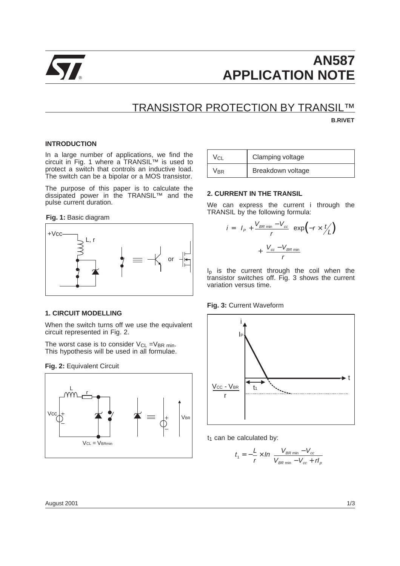

# **AN587** ® **APPLICATION NOTE**

# TRANSISTOR PROTECTION BY TRANSIL™

**B.RIVET**

# **INTRODUCTION**

In a large number of applications, we find the circuit in Fig. 1 where a TRANSIL™ is used to protect a switch that controls an inductive load. The switch can be a bipolar or a MOS transistor.

The purpose of this paper is to calculate the dissipated power in the TRANSIL™ and the pulse current duration.

**Fig. 1:** Basic diagram



# **1. CIRCUIT MODELLING**

When the switch turns off we use the equivalent circuit represented in Fig. 2.

The worst case is to consider  $V_{CL} = V_{BR}$  min. This hypothesis will be used in all formulae.

## **Fig. 2:** Equivalent Circuit



| Vcl | Clamping voltage  |
|-----|-------------------|
| Vbr | Breakdown voltage |

# **2. CURRENT IN THE TRANSIL**

We can express the current i through the TRANSIL by the following formula:

$$
i = \left(I_P + \frac{V_{BR \text{ min}} - V_{cc}}{r}\right) \exp\left(-r \times \frac{t}{L}\right)
$$

$$
+ \left(\frac{V_{cc} - V_{BR \text{ min}}}{r}\right)
$$

I<sub>p</sub> is the current through the coil when the transistor switches off. Fig. 3 shows the current variation versus time.

## **Fig. 3:** Current Waveform



 $t_1$  can be calculated by:

$$
t_1 = -\frac{L}{r} \times ln\left(\frac{V_{BR \min} - V_{cc}}{V_{BR \min} - V_{cc} + rt_{\rho}}\right)
$$

August 2001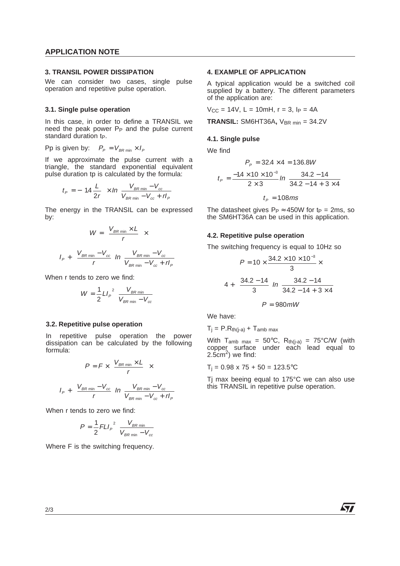# **APPLICATION NOTE**

## **3. TRANSIL POWER DISSIPATION**

We can consider two cases, single pulse operation and repetitive pulse operation.

# **3.1. Single pulse operation**

In this case, in order to define a TRANSIL we need the peak power P<sub>P</sub> and the pulse current standard duration t<sub>P</sub>.

Pp is given by:  $P_p = V_{BR \text{ min}} \times I_p$ 

If we approximate the pulse current with a triangle, the standard exponential equivalent pulse duration tp is calculated by the formula:

$$
t_{P} = -\left(14\frac{L}{2r}\right) \times ln\left(\frac{V_{BR\min} - V_{cc}}{V_{BR\min} - V_{cc} + rI_{P}}\right)
$$

The energy in the TRANSIL can be expressed by:

$$
W = \left(\frac{V_{BR \min} \times L}{r}\right) \times
$$

$$
\left[ I_P + \left(\frac{V_{BR \min} - V_{cc}}{r}\right) \ln\left(\frac{V_{BR \min} - V_{cc}}{V_{BR \min} - V_{cc} + H_P}\right) \right]
$$

When r tends to zero we find:

$$
W = \frac{1}{2} L I_{P}^{2} \left( \frac{V_{BR \min}}{V_{BR \min} - V_{cc}} \right)
$$

## **3.2. Repetitive pulse operation**

In repetitive pulse operation the power dissipation can be calculated by the following formula:

$$
P = F \times \left(\frac{V_{BR \text{ min}} \times L}{r}\right) \times
$$
\n
$$
\left[ I_P + \left(\frac{V_{BR \text{ min}} - V_{cc}}{r}\right) \ln \left(\frac{V_{BR \text{ min}} - V_{cc}}{V_{BR \text{ min}} - V_{cc} + rI_P}\right) \right]
$$

When r tends to zero we find:

$$
P = \frac{1}{2} FLI_{P}^{2} \left( \frac{V_{BR\ min}}{V_{BR\ min} - V_{cc}} \right)
$$

Where F is the switching frequency.

# **4. EXAMPLE OF APPLICATION**

A typical application would be a switched coil supplied by a battery. The different parameters of the application are:

 $V_{CC}$  = 14V, L = 10mH, r = 3, l<sub>P</sub> = 4A

**TRANSIL:** SM6HT36A, V<sub>BR min</sub> = 34.2V

## **4.1. Single pulse**

We find

$$
P_p = 32.4 \times 4 = 136.8W
$$
  

$$
t_p = \frac{-1.4 \times 10 \times 10^{-3}}{2 \times 3} ln\left(\frac{34.2 - 14}{34.2 - 14 + 3 \times 4}\right)
$$
  

$$
t_p = 1.08ms
$$

The datasheet gives  $P_P \approx 450W$  for tp = 2ms, so the SM6HT36A can be used in this application.

## **4.2. Repetitive pulse operation**

The switching frequency is equal to 10Hz so

$$
P = 10 \times \frac{34.2 \times 10 \times 10^{-3}}{3} \times
$$
\n
$$
\left[4 + \left(\frac{34.2 - 14}{3}\right) \ln\left(\frac{34.2 - 14}{34.2 - 14 + 3 \times 4}\right)\right]
$$
\n
$$
P = 980 \text{ mW}
$$

We have:

 $T_i = P.R<sub>th(j-a)</sub> + T<sub>amb max</sub>$ 

With  $T_{amb \, max} = 50^{\circ}C$ ,  $R_{th(i-a)} = 75^{\circ}C/W$  (with copper surface under each lead equal to  $2.5cm<sup>2</sup>$ ) we find:

 $T_i = 0.98 \times 75 + 50 = 123.5$ °C

Tj max beeing equal to 175°C we can also use this TRANSIL in repetitive pulse operation.